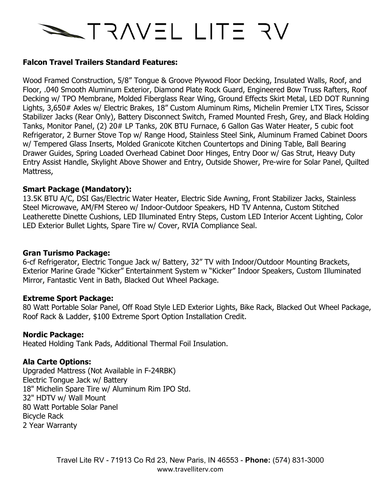# NF ETIL LITE AV

## **Falcon Travel Trailers Standard Features:**

Wood Framed Construction, 5/8" Tongue & Groove Plywood Floor Decking, Insulated Walls, Roof, and Floor, .040 Smooth Aluminum Exterior, Diamond Plate Rock Guard, Engineered Bow Truss Rafters, Roof Decking w/ TPO Membrane, Molded Fiberglass Rear Wing, Ground Effects Skirt Metal, LED DOT Running Lights, 3,650# Axles w/ Electric Brakes, 18" Custom Aluminum Rims, Michelin Premier LTX Tires, Scissor Stabilizer Jacks (Rear Only), Battery Disconnect Switch, Framed Mounted Fresh, Grey, and Black Holding Tanks, Monitor Panel, (2) 20# LP Tanks, 20K BTU Furnace, 6 Gallon Gas Water Heater, 5 cubic foot Refrigerator, 2 Burner Stove Top w/ Range Hood, Stainless Steel Sink, Aluminum Framed Cabinet Doors w/ Tempered Glass Inserts, Molded Granicote Kitchen Countertops and Dining Table, Ball Bearing Drawer Guides, Spring Loaded Overhead Cabinet Door Hinges, Entry Door w/ Gas Strut, Heavy Duty Entry Assist Handle, Skylight Above Shower and Entry, Outside Shower, Pre-wire for Solar Panel, Quilted Mattress,

# **Smart Package (Mandatory):**

13.5K BTU A/C, DSI Gas/Electric Water Heater, Electric Side Awning, Front Stabilizer Jacks, Stainless Steel Microwave, AM/FM Stereo w/ Indoor-Outdoor Speakers, HD TV Antenna, Custom Stitched Leatherette Dinette Cushions, LED Illuminated Entry Steps, Custom LED Interior Accent Lighting, Color LED Exterior Bullet Lights, Spare Tire w/ Cover, RVIA Compliance Seal.

## **Gran Turismo Package:**

6-cf Refrigerator, Electric Tongue Jack w/ Battery, 32" TV with Indoor/Outdoor Mounting Brackets, Exterior Marine Grade "Kicker" Entertainment System w "Kicker" Indoor Speakers, Custom Illuminated Mirror, Fantastic Vent in Bath, Blacked Out Wheel Package.

## **Extreme Sport Package:**

80 Watt Portable Solar Panel, Off Road Style LED Exterior Lights, Bike Rack, Blacked Out Wheel Package, Roof Rack & Ladder, \$100 Extreme Sport Option Installation Credit.

## **Nordic Package:**

Heated Holding Tank Pads, Additional Thermal Foil Insulation.

## **Ala Carte Options:**

Upgraded Mattress (Not Available in F-24RBK) Electric Tongue Jack w/ Battery 18" Michelin Spare Tire w/ Aluminum Rim IPO Std. 32" HDTV w/ Wall Mount 80 Watt Portable Solar Panel Bicycle Rack 2 Year Warranty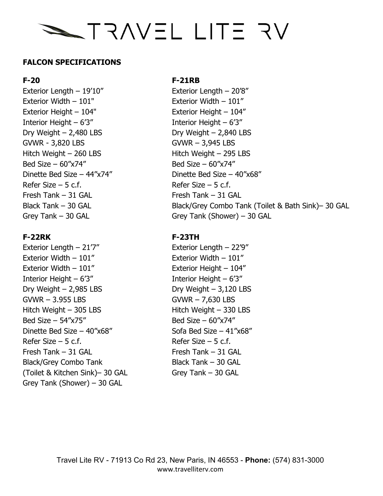# NF ETIL LITE AV

# **FALCON SPECIFICATIONS**

Exterior Length – 19'10" Exterior Length – 20'8" Exterior Width – 101" Exterior Width – 101" Exterior Height – 104" Exterior Height – 104" Interior Height – 6'3" Interior Height – 6'3"  $Dry Weight - 2,480 LBS$  Dry Weight – 2,840 LBS GVWR - 3,820 LBS GVWR – 3,945 LBS Hitch Weight – 260 LBS Hitch Weight – 295 LBS  $Bed Size - 60''x74''$  Bed Size –  $60''x74''$ Dinette Bed Size –  $44^{\prime\prime}x74^{\prime\prime}$  Dinette Bed Size –  $40^{\prime\prime}x68^{\prime\prime}$ Refer Size – 5 c.f.  $\blacksquare$  Refer Size – 5 c.f. Fresh Tank – 31 GAL Fresh Tank – 31 GAL

Exterior Length  $-21'7''$  Exterior Length  $-22'9''$ Exterior Width – 101" Exterior Width – 101" Exterior Width – 101" Exterior Height – 104" Interior Height – 6'3" Interior Height – 6'3"  $Dry Weight - 2,985 LBS$  Dry Weight –  $3,120 LBS$ GVWR – 3.955 LBS GVWR – 7,630 LBS Hitch Weight – 305 LBS Hitch Weight – 330 LBS Bed Size –  $54"x75"$  Bed Size –  $60"x74"$ Dinette Bed Size –  $40''x68''$  Sofa Bed Size –  $41''x68''$ Refer Size – 5 c.f.  $\blacksquare$  Refer Size – 5 c.f. Fresh Tank – 31 GAL Fresh Tank – 31 GAL Black/Grey Combo Tank Black Tank – 30 GAL (Toilet & Kitchen Sink)– 30 GAL Grey Tank – 30 GAL Grey Tank (Shower) – 30 GAL

# **F-20 F-21RB**

Black Tank – 30 GAL Black/Grey Combo Tank (Toilet & Bath Sink)– 30 GAL Grey Tank – 30 GAL Grey Tank (Shower) – 30 GAL

# **F-22RK F-23TH**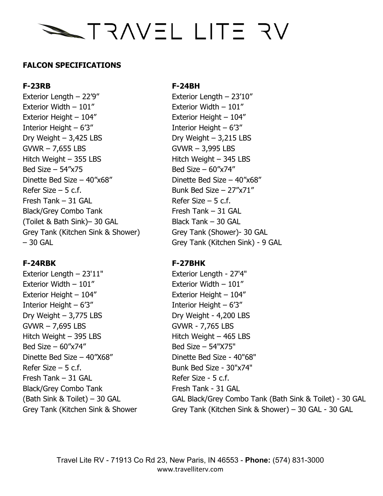# NF ETIL LITE STANT

# **FALCON SPECIFICATIONS**

Exterior Length – 22'9" Exterior Length – 23'10" Exterior Width – 101" Exterior Width – 101" Exterior Height – 104" Exterior Height – 104" Interior Height – 6'3" Interior Height – 6'3"  $Dry Weight - 3,425 LBS$  Dry Weight –  $3,215 LBS$ GVWR – 7,655 LBS GVWR – 3,995 LBS Hitch Weight – 355 LBS Hitch Weight – 345 LBS Bed Size –  $54''x75$  Bed Size –  $60''x74''$ Dinette Bed Size –  $40''x68''$  Dinette Bed Size –  $40''x68''$ Refer Size – 5 c.f.  $Bunk Bed Size - 27"x71"$ Fresh Tank – 31 GAL Refer Size – 5 c.f. Black/Grey Combo Tank Fresh Tank – 31 GAL  $(Toilet & Bath Sink) - 30 GAL$  Black Tank – 30 GAL Grey Tank (Kitchen Sink & Shower) Grey Tank (Shower)- 30 GAL – 30 GAL Grey Tank (Kitchen Sink) - 9 GAL

# **F-24RBK F-27BHK**

Exterior Length – 23'11" Exterior Length - 27'4" Exterior Width – 101" Exterior Width – 101" Exterior Height – 104" Exterior Height – 104" Interior Height – 6'3" Interior Height – 6'3"  $Dry Weight - 3,775 LBS$  Dry Weight -  $4,200 LBS$ GVWR – 7,695 LBS GVWR - 7,765 LBS  $Hitch Weight - 395 LBS$  Hitch Weight – 465 LBS  $Bed Size - 60''x74''$  Bed Size – 54"X75" Dinette Bed Size – 40"X68" Dinette Bed Size - 40"68" Refer Size  $-5$  c.f.  $Bunk$  Bunk Bed Size -  $30"x74"$ Fresh Tank – 31 GAL Refer Size - 5 c.f. Black/Grey Combo Tank Fresh Tank - 31 GAL

## **F-23RB F-24BH**

(Bath Sink & Toilet) – 30 GAL GAL GAL Black/Grey Combo Tank (Bath Sink & Toilet) - 30 GAL Grey Tank (Kitchen Sink & Shower Grey Tank (Kitchen Sink & Shower) – 30 GAL - 30 GAL